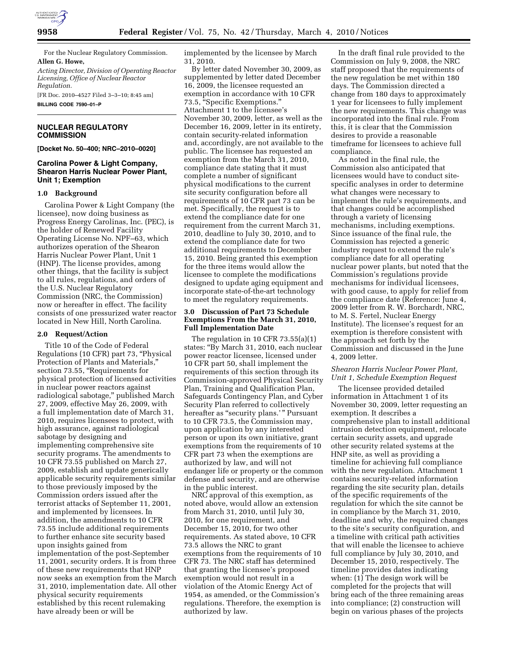

For the Nuclear Regulatory Commission. **Allen G. Howe,** 

*Acting Director, Division of Operating Reactor Licensing, Office of Nuclear Reactor Regulation.* 

[FR Doc. 2010–4527 Filed 3–3–10; 8:45 am] **BILLING CODE 7590–01–P** 

# **NUCLEAR REGULATORY COMMISSION**

**[Docket No. 50–400; NRC–2010–0020]** 

# **Carolina Power & Light Company, Shearon Harris Nuclear Power Plant, Unit 1; Exemption**

### **1.0 Background**

Carolina Power & Light Company (the licensee), now doing business as Progress Energy Carolinas, Inc. (PEC), is the holder of Renewed Facility Operating License No. NPF–63, which authorizes operation of the Shearon Harris Nuclear Power Plant, Unit 1 (HNP). The license provides, among other things, that the facility is subject to all rules, regulations, and orders of the U.S. Nuclear Regulatory Commission (NRC, the Commission) now or hereafter in effect. The facility consists of one pressurized water reactor located in New Hill, North Carolina.

### **2.0 Request/Action**

Title 10 of the Code of Federal Regulations (10 CFR) part 73, ''Physical Protection of Plants and Materials,'' section 73.55, "Requirements for physical protection of licensed activities in nuclear power reactors against radiological sabotage,'' published March 27, 2009, effective May 26, 2009, with a full implementation date of March 31, 2010, requires licensees to protect, with high assurance, against radiological sabotage by designing and implementing comprehensive site security programs. The amendments to 10 CFR 73.55 published on March 27, 2009, establish and update generically applicable security requirements similar to those previously imposed by the Commission orders issued after the terrorist attacks of September 11, 2001, and implemented by licensees. In addition, the amendments to 10 CFR 73.55 include additional requirements to further enhance site security based upon insights gained from implementation of the post-September 11, 2001, security orders. It is from three of these new requirements that HNP now seeks an exemption from the March 31, 2010, implementation date. All other physical security requirements established by this recent rulemaking have already been or will be

implemented by the licensee by March 31, 2010.

By letter dated November 30, 2009, as supplemented by letter dated December 16, 2009, the licensee requested an exemption in accordance with 10 CFR 73.5, ''Specific Exemptions.'' Attachment 1 to the licensee's November 30, 2009, letter, as well as the December 16, 2009, letter in its entirety, contain security-related information and, accordingly, are not available to the public. The licensee has requested an exemption from the March 31, 2010, compliance date stating that it must complete a number of significant physical modifications to the current site security configuration before all requirements of 10 CFR part 73 can be met. Specifically, the request is to extend the compliance date for one requirement from the current March 31, 2010, deadline to July 30, 2010, and to extend the compliance date for two additional requirements to December 15, 2010. Being granted this exemption for the three items would allow the licensee to complete the modifications designed to update aging equipment and incorporate state-of-the-art technology to meet the regulatory requirements.

# **3.0 Discussion of Part 73 Schedule Exemptions From the March 31, 2010, Full Implementation Date**

The regulation in 10 CFR 73.55(a)(1) states: ''By March 31, 2010, each nuclear power reactor licensee, licensed under 10 CFR part 50, shall implement the requirements of this section through its Commission-approved Physical Security Plan, Training and Qualification Plan, Safeguards Contingency Plan, and Cyber Security Plan referred to collectively hereafter as "security plans.'" Pursuant to 10 CFR 73.5, the Commission may, upon application by any interested person or upon its own initiative, grant exemptions from the requirements of 10 CFR part 73 when the exemptions are authorized by law, and will not endanger life or property or the common defense and security, and are otherwise in the public interest.

NRC approval of this exemption, as noted above, would allow an extension from March 31, 2010, until July 30, 2010, for one requirement, and December 15, 2010, for two other requirements. As stated above, 10 CFR 73.5 allows the NRC to grant exemptions from the requirements of 10 CFR 73. The NRC staff has determined that granting the licensee's proposed exemption would not result in a violation of the Atomic Energy Act of 1954, as amended, or the Commission's regulations. Therefore, the exemption is authorized by law.

In the draft final rule provided to the Commission on July 9, 2008, the NRC staff proposed that the requirements of the new regulation be met within 180 days. The Commission directed a change from 180 days to approximately 1 year for licensees to fully implement the new requirements. This change was incorporated into the final rule. From this, it is clear that the Commission desires to provide a reasonable timeframe for licensees to achieve full compliance.

As noted in the final rule, the Commission also anticipated that licensees would have to conduct sitespecific analyses in order to determine what changes were necessary to implement the rule's requirements, and that changes could be accomplished through a variety of licensing mechanisms, including exemptions. Since issuance of the final rule, the Commission has rejected a generic industry request to extend the rule's compliance date for all operating nuclear power plants, but noted that the Commission's regulations provide mechanisms for individual licensees, with good cause, to apply for relief from the compliance date (Reference: June 4, 2009 letter from R. W. Borchardt, NRC, to M. S. Fertel, Nuclear Energy Institute). The licensee's request for an exemption is therefore consistent with the approach set forth by the Commission and discussed in the June 4, 2009 letter.

# *Shearon Harris Nuclear Power Plant, Unit 1, Schedule Exemption Request*

The licensee provided detailed information in Attachment 1 of its November 30, 2009, letter requesting an exemption. It describes a comprehensive plan to install additional intrusion detection equipment, relocate certain security assets, and upgrade other security related systems at the HNP site, as well as providing a timeline for achieving full compliance with the new regulation. Attachment 1 contains security-related information regarding the site security plan, details of the specific requirements of the regulation for which the site cannot be in compliance by the March 31, 2010, deadline and why, the required changes to the site's security configuration, and a timeline with critical path activities that will enable the licensee to achieve full compliance by July 30, 2010, and December 15, 2010, respectively. The timeline provides dates indicating when: (1) The design work will be completed for the projects that will bring each of the three remaining areas into compliance; (2) construction will begin on various phases of the projects